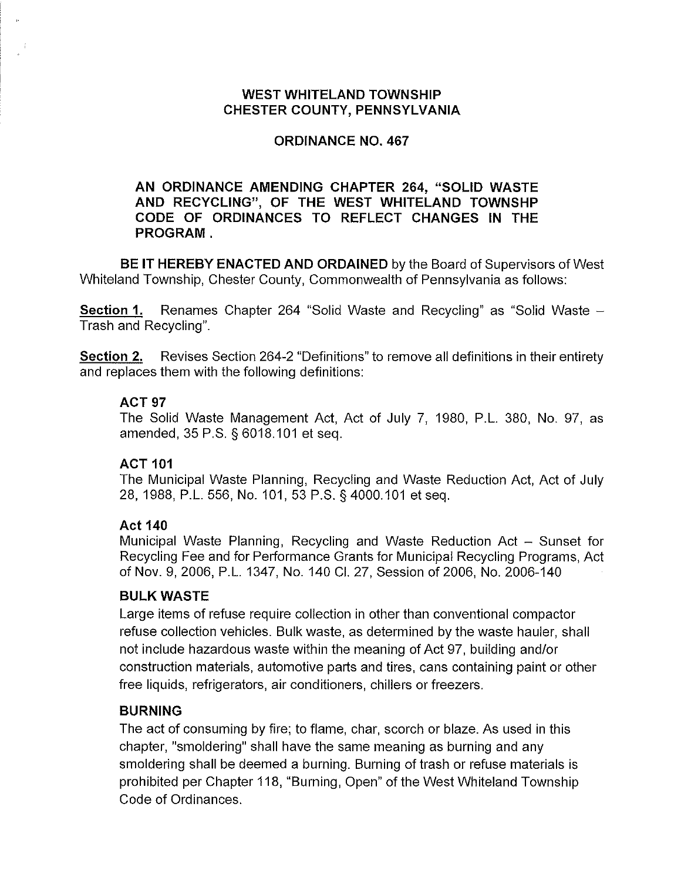## **WEST WHITELAND TOWNSHIP CHESTER COUNTY, PENNSYLVANIA**

# **ORDINANCE NO. 467**

## **AN ORDINANCE AMENDING CHAPTER 264, "SOLID WASTE AND RECYCLING", OF THE WEST WHITELAND TOWNSHP CODE OF ORDINANCES TO REFLECT CHANGES IN THE PROGRAM.**

**BE IT HEREBY ENACTED AND ORDAINED** by the Board of Supervisors of West Whiteland Township, Chester County, Commonwealth of Pennsylvania as follows:

**Section 1.** Renames Chapter 264 "Solid Waste and Recycling" as "Solid Waste -Trash and Recycling".

**Section 2.** Revises Section 264-2 "Definitions" to remove all definitions in their entirety and replaces them with the following definitions:

#### **ACT97**

The Solid Waste Management Act, Act of July 7, 1980, P.L. 380, No. 97, as amended, 35 P.S. § 6018.101 et seq.

## **ACT 101**

The Municipal Waste Planning, Recycling and Waste Reduction Act, Act of July 28, 1988, P.L. 556, No.101, 53 P.S. §4000.101 et seq.

## **Act140**

Municipal Waste Planning, Recycling and Waste Reduction Act - Sunset for Recycling Fee and for Performance Grants for Municipal Recycling Programs, Act of Nov. 9, 2006, P.L. 1347, No. 140 Cl. 27, Session of 2006, No. 2006-140

## **BULK WASTE**

Large items of refuse require collection in other than conventional compactor refuse collection vehicles. Bulk waste, as determined by the waste hauler, shall not include hazardous waste within the meaning of Act 97, building and/or construction materials, automotive parts and tires, cans containing paint or other free liquids, refrigerators, air conditioners, chillers or freezers.

## **BURNING**

The act of consuming by fire; to flame, char, scorch or blaze. As used in this chapter, "smoldering" shall have the same meaning as burning and any smoldering shall be deemed a burning. Burning of trash or refuse materials is prohibited per Chapter 118, "Burning, Open" of the West Whiteland Township Code of Ordinances.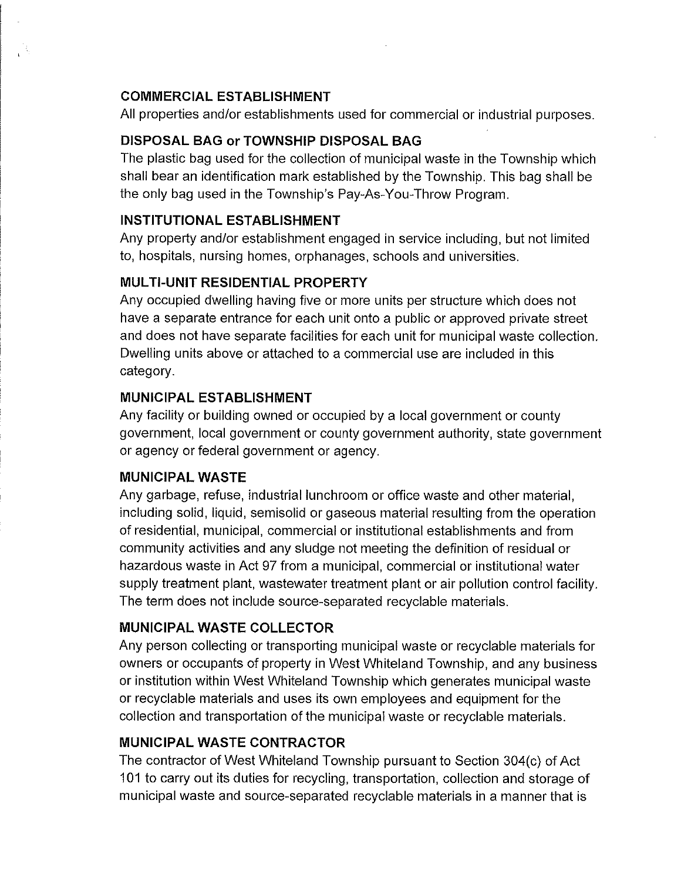## **COMMERCIAL ESTABLISHMENT**

All properties and/or establishments used for commercial or industrial purposes.

# **DISPOSAL BAG or TOWNSHIP DISPOSAL BAG**

The plastic bag used for the collection of municipal waste in the Township which shall bear an identification mark established by the Township. This bag shall be the only bag used in the Township's Pay-As-You-Throw Program.

# **INSTITUTIONAL ESTABLISHMENT**

Any property and/or establishment engaged in service including, but not limited to, hospitals, nursing homes, orphanages, schools and universities.

# **MUL Tl-UNIT RESIDENTIAL PROPERTY**

Any occupied dwelling having five or more units per structure which does not have a separate entrance for each unit onto a public or approved private street and does not have separate facilities for each unit for municipal waste collection. Dwelling units above or attached to a commercial use are included in this category.

# **MUNICIPAL ESTABLISHMENT**

Any facility or building owned or occupied by a local government or county government, local government or county government authority, state government or agency or federal government or agency.

# **MUNICIPAL WASTE**

Any garbage, refuse, industrial lunchroom or office waste and other material, including solid, liquid, semisolid or gaseous material resulting from the operation of residential, municipal, commercial or institutional establishments and from community activities and any sludge not meeting the definition of residual or hazardous waste in Act 97 from a municipal, commercial or institutional water supply treatment plant, wastewater treatment plant or air pollution control facility. The term does not include source-separated recyclable materials.

# **MUNICIPAL WASTE COLLECTOR**

Any person collecting or transporting municipal waste or recyclable materials for owners or occupants of property in West Whiteland Township, and any business or institution within West Whiteland Township which generates municipal waste or recyclable materials and uses its own employees and equipment for the collection and transportation of the municipal waste or recyclable materials.

# **MUNICIPAL WASTE CONTRACTOR**

The contractor of West Whiteland Township pursuant to Section 304(c) of Act 101 to carry out its duties for recycling, transportation, collection and storage of municipal waste and source-separated recyclable materials in a manner that is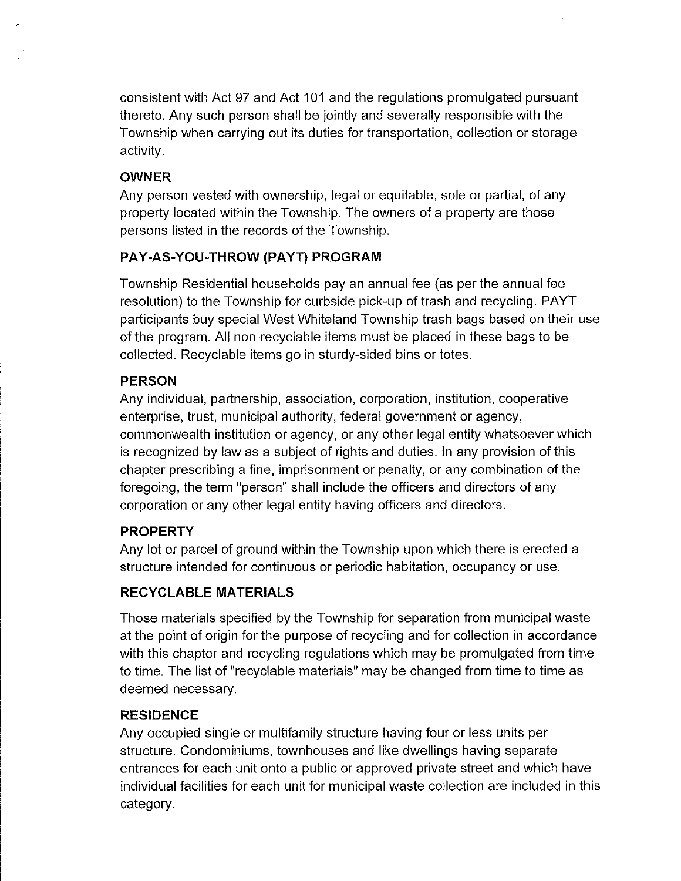consistent with Act 97 and Act 101 and the regulations promulgated pursuant thereto. Any such person shall be jointly and severally responsible with the Township when carrying out its duties for transportation, collection or storage activity.

# **OWNER**

Any person vested with ownership, legal or equitable, sole or partial, of any property located within the Township. The owners of a property are those persons listed in the records of the Township.

# **PAY-AS-YOU-THROW (PAYT) PROGRAM**

Township Residential households pay an annual fee (as per the annual fee resolution) to the Township for curbside pick-up of trash and recycling. PAYT participants buy special West Whiteland Township trash bags based on their use of the program. All non-recyclable items must be placed in these bags to be collected. Recyclable items go in sturdy-sided bins or totes.

# **PERSON**

Any individual, partnership, association, corporation, institution, cooperative enterprise, trust, municipal authority, federal government or agency, commonwealth institution or agency, or any other legal entity whatsoever which is recognized by law as a subject of rights and duties. In any provision of this chapter prescribing a fine, imprisonment or penalty, or any combination of the foregoing, the term "person" shall include the officers and directors of any corporation or any other legal entity having officers and directors.

# **PROPERTY**

Any lot or parcel of ground within the Township upon which there is erected a structure intended for continuous or periodic habitation, occupancy or use.

# **RECYCLABLE MATERIALS**

Those materials specified by the Township for separation from municipal waste at the point of origin for the purpose of recycling and for collection in accordance with this chapter and recycling regulations which may be promulgated from time to time. The list of "recyclable materials" may be changed from time to time as deemed necessary.

# **RESIDENCE**

Any occupied single or multifamily structure having four or less units per structure. Condominiums, townhouses and like dwellings having separate entrances for each unit onto a public or approved private street and which have individual facilities for each unit for municipal waste collection are included in this category.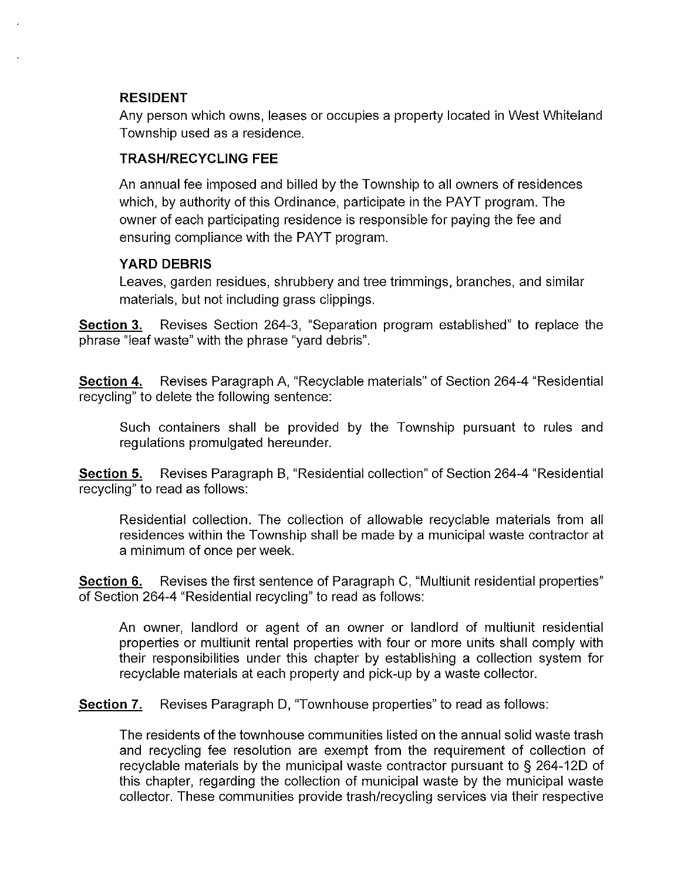### **RESIDENT**

Any person which owns, leases or occupies a property located in West Whiteland Township used as a residence.

## **TRASH/RECYCLING FEE**

An annual fee imposed and billed by the Township to all owners of residences which, by authority of this Ordinance, participate in the PAYT program. The owner of each participating residence is responsible for paying the fee and ensuring compliance with the PAYT program.

## **YARD DEBRIS**

Leaves, garden residues, shrubbery and tree trimmings, branches, and similar materials, but not including grass clippings.

**Section 3.** Revises Section 264-3, "Separation program established" to replace the phrase "leaf waste" with the phrase "yard debris".

**Section 4.** Revises Paragraph A, "Recyclable materials" of Section 264-4 "Residential recycling" to delete the following sentence:

Such containers shall be provided by the Township pursuant to rules and regulations promulgated hereunder.

**Section 5.** Revises Paragraph B, "Residential collection" of Section 264-4 "Residential recycling" to read as follows:

Residential collection. The collection of allowable recyclable materials from all residences within the Township shall be made by a municipal waste contractor at a minimum of once per week.

**Section 6.** Revises the first sentence of Paragraph C, "Multiunit residential properties" of Section 264-4 "Residential recycling" to read as follows:

An owner, landlord or agent of an owner or landlord of multiunit residential properties or multiunit rental properties with four or more units shall comply with their responsibilities under this chapter by establishing a collection system for recyclable materials at each property and pick-up by a waste collector.

**Section 7.** Revises Paragraph D, "Townhouse properties" to read as follows:

The residents of the townhouse communities listed on the annual solid waste trash and recycling fee resolution are exempt from the requirement of collection of recyclable materials by the municipal waste contractor pursuant to§ 264-12D of this chapter, regarding the collection of municipal waste by the municipal waste collector. These communities provide trash/recycling services via their respective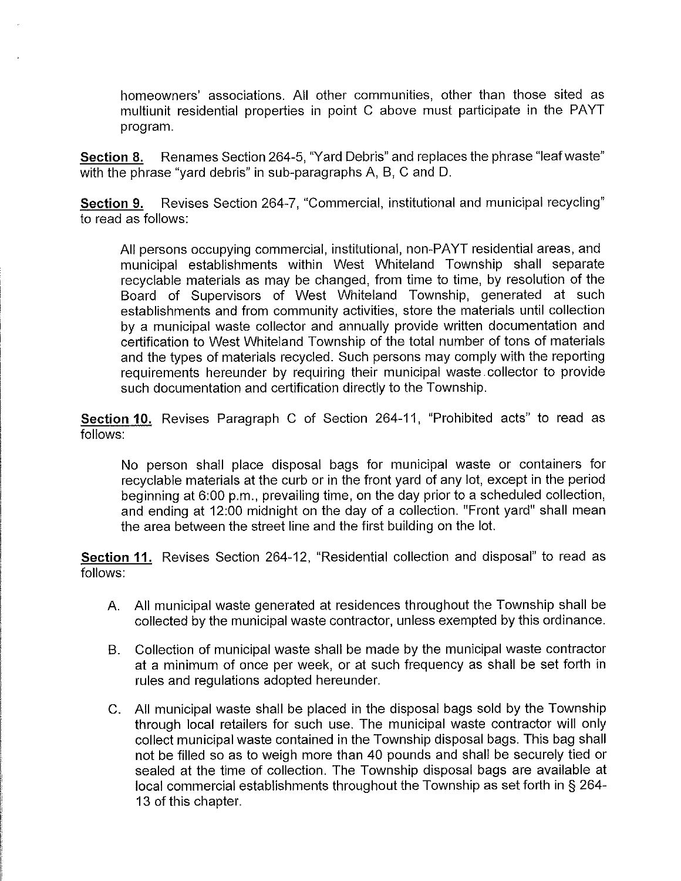homeowners' associations. All other communities, other than those sited as multiunit residential properties in point C above must participate in the PAYT program.

**Section 8.** Renames Section 264-5, "Yard Debris" and replaces the phrase "leaf waste" with the phrase "yard debris" in sub-paragraphs A, B, C and D.

**Section 9.** Revises Section 264-7, "Commercial, institutional and municipal recycling" to read as follows:

All persons occupying commercial, institutional, non-PAYT residential areas, and municipal establishments within West Whiteland Township shall separate recyclable materials as may be changed, from time to time, by resolution of the Board of Supervisors of West Whiteland Township, generated at such establishments and from community activities, store the materials until collection by a municipal waste collector and annually provide written documentation and certification to West Whiteland Township of the total number of tons of materials and the types of materials recycled. Such persons may comply with the reporting requirements hereunder by requiring their municipal waste. collector to provide such documentation and certification directly to the Township.

**Section 10.** Revises Paragraph C of Section 264-11, "Prohibited acts" to read as follows:

No person shall place disposal bags for municipal waste or containers for recyclable materials at the curb or in the front yard of any lot, except in the period beginning at 6:00 p.m., prevailing time, on the day prior to a scheduled collection, and ending at 12:00 midnight on the day of a collection. "Front yard" shall mean the area between the street line and the first building on the lot.

**Section 11.** Revises Section 264-12, "Residential collection and disposal" to read as follows:

- A. All municipal waste generated at residences throughout the Township shall be collected by the municipal waste contractor, unless exempted by this ordinance.
- B. Collection of municipal waste shall be made by the municipal waste contractor at a minimum of once per week, or at such frequency as shall be set forth in rules and regulations adopted hereunder.
- C. All municipal waste shall be placed in the disposal bags sold by the Township through local retailers for such use. The municipal waste contractor will only collect municipal waste contained in the Township disposal bags. This bag shall not be filled so as to weigh more than 40 pounds and shall be securely tied or sealed at the time of collection. The Township disposal bags are available at local commercial establishments throughout the Township as set forth in § 264- 13 of this chapter.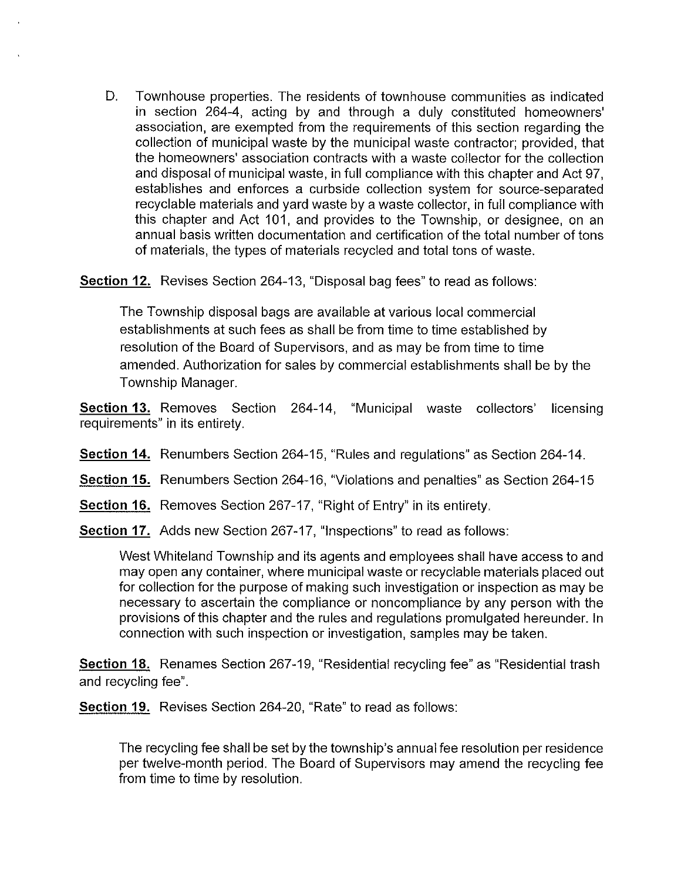D. Townhouse properties. The residents of townhouse communities as indicated in section 264-4, acting by and through a duly constituted homeowners' association, are exempted from the requirements of this section regarding the collection of municipal waste by the municipal waste contractor; provided, that the homeowners' association contracts with a waste collector for the collection and disposal of municipal waste, in full compliance with this chapter and Act 97, establishes and enforces a curbside collection system for source-separated recyclable materials and yard waste by a waste collector, in full compliance with this chapter and Act 101, and provides to the Township, or designee, on an annual basis written documentation and certification of the total number of tons of materials, the types of materials recycled and total tons of waste.

**Section 12.** Revises Section 264-13, "Disposal bag fees" to read as follows:

The Township disposal bags are available at various local commercial establishments at such fees as shall be from time to time established by resolution of the Board of Supervisors, and as may be from time to time amended. Authorization for sales by commercial establishments shall be by the Township Manager.

**Section 13.** Removes Section 264-14, "Municipal waste collectors' licensing requirements" in its entirety.

- **Section 14.** Renumbers Section 264-15, "Rules and regulations" as Section 264-14.
- **Section 15.** Renumbers Section 264-16, "Violations and penalties" as Section 264-15
- **Section 16.** Removes Section 267-17, "Right of Entry" in its entirety.

**Section 17.** Adds new Section 267-17, "Inspections" to read as follows:

West Whiteland Township and its agents and employees shall have access to and may open any container, where municipal waste or recyclable materials placed out for collection for the purpose of making such investigation or inspection as may be necessary to ascertain the compliance or noncompliance by any person with the provisions of this chapter and the rules and regulations promulgated hereunder. In connection with such inspection or investigation, samples may be taken.

**Section 18.** Renames Section 267-19, "Residential recycling fee" as "Residential trash and recycling fee".

**Section 19.** Revises Section 264-20, "Rate" to read as follows:

The recycling fee shall be set by the township's annual fee resolution per residence per twelve-month period. The Board of Supervisors may amend the recycling fee from time to time by resolution.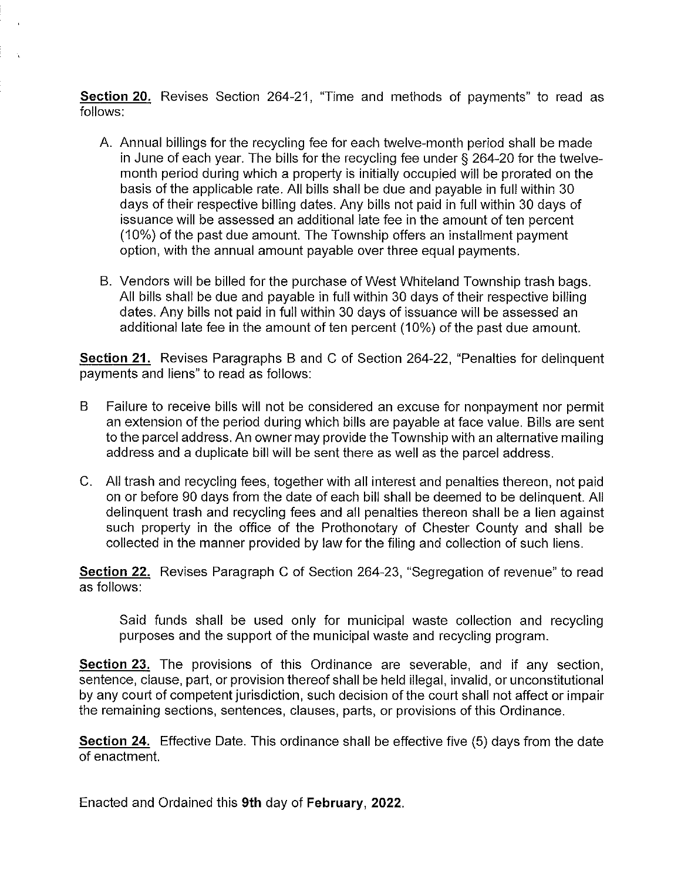**Section 20.** Revises Section 264-21, "Time and methods of payments" to read as follows:

- A. Annual billings for the recycling fee for each twelve-month period shall be made in June of each year. The bills for the recycling fee under§ 264-20 for the twelvemonth period during which a property is initially occupied will be prorated on the basis of the applicable rate. All bills shall be due and payable in full within 30 days of their respective billing dates. Any bills not paid in full within 30 days of issuance will be assessed an additional late fee in the amount of ten percent (10%) of the past due amount. The Township offers an installment payment option, with the annual amount payable over three equal payments.
- B. Vendors will be billed for the purchase of West Whiteland Township trash bags. All bills shall be due and payable in full within 30 days of their respective billing dates. Any bills not paid in full within 30 days of issuance will be assessed an additional late fee in the amount of ten percent (10%) of the past due amount.

**Section 21.** Revises Paragraphs B and C of Section 264-22, "Penalties for delinquent payments and liens" to read as follows:

- B Failure to receive bills will not be considered an excuse for nonpayment nor permit an extension of the period during which bills are payable at face value. Bills are sent to the parcel address. An owner may provide the Township with an alternative mailing address and a duplicate bill will be sent there as well as the parcel address.
- C. All trash and recycling fees, together with all interest and penalties thereon, not paid on or before 90 days from the date of each bill shall be deemed to be delinquent. All delinquent trash and recycling fees and all penalties thereon shall be a lien against such property in the office of the Prothonotary of Chester County and shall be collected in the manner provided by law for the filing and collection of such liens.

**Section 22.** Revises Paragraph C of Section 264-23, "Segregation of revenue" to read as follows:

Said funds shall be used only for municipal waste collection and recycling purposes and the support of the municipal waste and recycling program.

**Section 23.** The provisions of this Ordinance are severable, and if any section, sentence, clause, part, or provision thereof shall be held illegal, invalid, or unconstitutional by any court of competent jurisdiction, such decision of the court shall not affect or impair the remaining sections, sentences, clauses, parts, or provisions of this Ordinance.

**Section 24.** Effective Date. This ordinance shall be effective five (5) days from the date of enactment.

Enacted and Ordained this **9th** day of **February, 2022.**